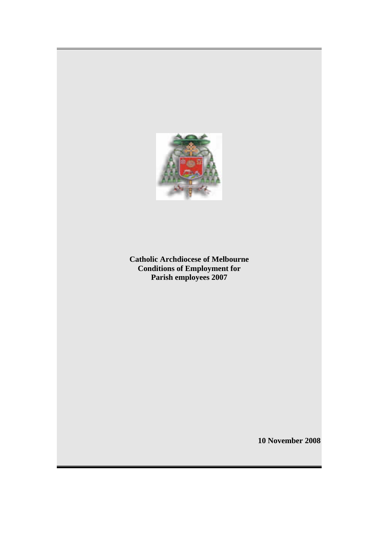

**Catholic Archdiocese of Melbourne Conditions of Employment for Parish employees 2007** 

**10 November 2008**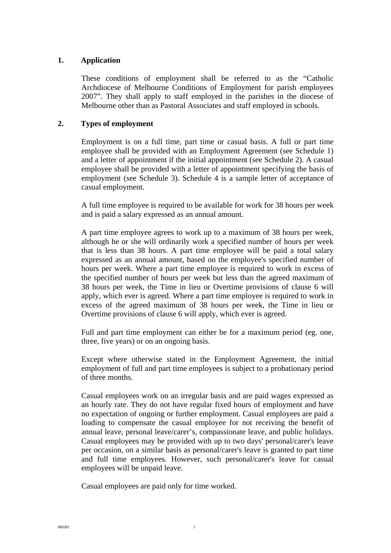# **1. Application**

These conditions of employment shall be referred to as the "Catholic Archdiocese of Melbourne Conditions of Employment for parish employees 2007". They shall apply to staff employed in the parishes in the diocese of Melbourne other than as Pastoral Associates and staff employed in schools.

# **2. Types of employment**

Employment is on a full time, part time or casual basis. A full or part time employee shall be provided with an Employment Agreement (see Schedule 1) and a letter of appointment if the initial appointment (see Schedule 2). A casual employee shall be provided with a letter of appointment specifying the basis of employment (see Schedule 3). Schedule 4 is a sample letter of acceptance of casual employment.

A full time employee is required to be available for work for 38 hours per week and is paid a salary expressed as an annual amount.

A part time employee agrees to work up to a maximum of 38 hours per week, although he or she will ordinarily work a specified number of hours per week that is less than 38 hours. A part time employee will be paid a total salary expressed as an annual amount, based on the employee's specified number of hours per week. Where a part time employee is required to work in excess of the specified number of hours per week but less than the agreed maximum of 38 hours per week, the Time in lieu or Overtime provisions of clause 6 will apply, which ever is agreed. Where a part time employee is required to work in excess of the agreed maximum of 38 hours per week, the Time in lieu or Overtime provisions of clause 6 will apply, which ever is agreed.

Full and part time employment can either be for a maximum period (eg. one, three, five years) or on an ongoing basis.

Except where otherwise stated in the Employment Agreement, the initial employment of full and part time employees is subject to a probationary period of three months.

Casual employees work on an irregular basis and are paid wages expressed as an hourly rate. They do not have regular fixed hours of employment and have no expectation of ongoing or further employment. Casual employees are paid a loading to compensate the casual employee for not receiving the benefit of annual leave, personal leave/carer's, compassionate leave, and public holidays. Casual employees may be provided with up to two days' personal/carer's leave per occasion, on a similar basis as personal/carer's leave is granted to part time and full time employees. However, such personal/carer's leave for casual employees will be unpaid leave.

Casual employees are paid only for time worked.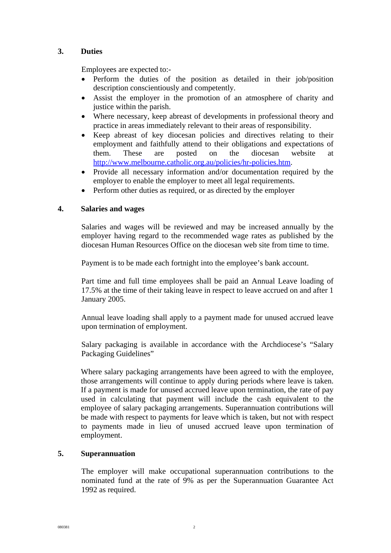# **3. Duties**

Employees are expected to:-

- Perform the duties of the position as detailed in their job/position description conscientiously and competently.
- Assist the employer in the promotion of an atmosphere of charity and justice within the parish.
- Where necessary, keep abreast of developments in professional theory and practice in areas immediately relevant to their areas of responsibility.
- Keep abreast of key diocesan policies and directives relating to their employment and faithfully attend to their obligations and expectations of them. These are posted on the diocesan website at <http://www.melbourne.catholic.org.au/policies/hr-policies.htm>.
- Provide all necessary information and/or documentation required by the employer to enable the employer to meet all legal requirements.
- Perform other duties as required, or as directed by the employer

## **4. Salaries and wages**

Salaries and wages will be reviewed and may be increased annually by the employer having regard to the recommended wage rates as published by the diocesan Human Resources Office on the diocesan web site from time to time.

Payment is to be made each fortnight into the employee's bank account.

Part time and full time employees shall be paid an Annual Leave loading of 17.5% at the time of their taking leave in respect to leave accrued on and after 1 January 2005.

Annual leave loading shall apply to a payment made for unused accrued leave upon termination of employment.

Salary packaging is available in accordance with the Archdiocese's "Salary Packaging Guidelines"

Where salary packaging arrangements have been agreed to with the employee. those arrangements will continue to apply during periods where leave is taken. If a payment is made for unused accrued leave upon termination, the rate of pay used in calculating that payment will include the cash equivalent to the employee of salary packaging arrangements. Superannuation contributions will be made with respect to payments for leave which is taken, but not with respect to payments made in lieu of unused accrued leave upon termination of employment.

# **5. Superannuation**

The employer will make occupational superannuation contributions to the nominated fund at the rate of 9% as per the Superannuation Guarantee Act 1992 as required.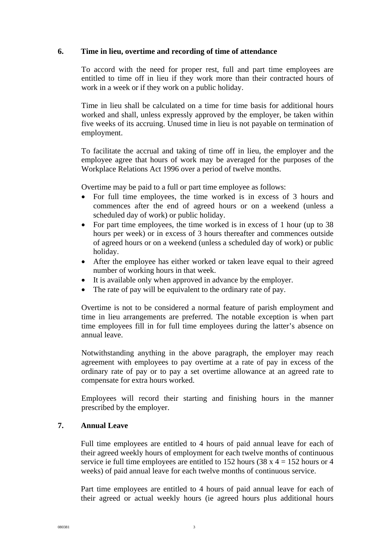## **6. Time in lieu, overtime and recording of time of attendance**

To accord with the need for proper rest, full and part time employees are entitled to time off in lieu if they work more than their contracted hours of work in a week or if they work on a public holiday.

Time in lieu shall be calculated on a time for time basis for additional hours worked and shall, unless expressly approved by the employer, be taken within five weeks of its accruing. Unused time in lieu is not payable on termination of employment.

To facilitate the accrual and taking of time off in lieu, the employer and the employee agree that hours of work may be averaged for the purposes of the Workplace Relations Act 1996 over a period of twelve months.

Overtime may be paid to a full or part time employee as follows:

- For full time employees, the time worked is in excess of 3 hours and commences after the end of agreed hours or on a weekend (unless a scheduled day of work) or public holiday.
- For part time employees, the time worked is in excess of 1 hour (up to 38) hours per week) or in excess of 3 hours thereafter and commences outside of agreed hours or on a weekend (unless a scheduled day of work) or public holiday.
- After the employee has either worked or taken leave equal to their agreed number of working hours in that week.
- It is available only when approved in advance by the employer.
- The rate of pay will be equivalent to the ordinary rate of pay.

Overtime is not to be considered a normal feature of parish employment and time in lieu arrangements are preferred. The notable exception is when part time employees fill in for full time employees during the latter's absence on annual leave.

Notwithstanding anything in the above paragraph, the employer may reach agreement with employees to pay overtime at a rate of pay in excess of the ordinary rate of pay or to pay a set overtime allowance at an agreed rate to compensate for extra hours worked.

Employees will record their starting and finishing hours in the manner prescribed by the employer.

## **7. Annual Leave**

Full time employees are entitled to 4 hours of paid annual leave for each of their agreed weekly hours of employment for each twelve months of continuous service ie full time employees are entitled to 152 hours (38 x  $4 = 152$  hours or 4 weeks) of paid annual leave for each twelve months of continuous service.

Part time employees are entitled to 4 hours of paid annual leave for each of their agreed or actual weekly hours (ie agreed hours plus additional hours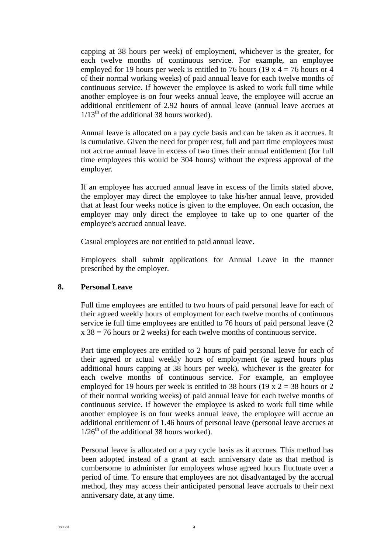capping at 38 hours per week) of employment, whichever is the greater, for each twelve months of continuous service. For example, an employee employed for 19 hours per week is entitled to 76 hours (19 x  $4 = 76$  hours or 4 of their normal working weeks) of paid annual leave for each twelve months of continuous service. If however the employee is asked to work full time while another employee is on four weeks annual leave, the employee will accrue an additional entitlement of 2.92 hours of annual leave (annual leave accrues at  $1/13<sup>th</sup>$  of the additional 38 hours worked).

Annual leave is allocated on a pay cycle basis and can be taken as it accrues. It is cumulative. Given the need for proper rest, full and part time employees must not accrue annual leave in excess of two times their annual entitlement (for full time employees this would be 304 hours) without the express approval of the employer.

If an employee has accrued annual leave in excess of the limits stated above, the employer may direct the employee to take his/her annual leave, provided that at least four weeks notice is given to the employee. On each occasion, the employer may only direct the employee to take up to one quarter of the employee's accrued annual leave.

Casual employees are not entitled to paid annual leave.

Employees shall submit applications for Annual Leave in the manner prescribed by the employer.

#### **8. Personal Leave**

Full time employees are entitled to two hours of paid personal leave for each of their agreed weekly hours of employment for each twelve months of continuous service ie full time employees are entitled to 76 hours of paid personal leave (2  $x 38 = 76$  hours or 2 weeks) for each twelve months of continuous service.

Part time employees are entitled to 2 hours of paid personal leave for each of their agreed or actual weekly hours of employment (ie agreed hours plus additional hours capping at 38 hours per week), whichever is the greater for each twelve months of continuous service. For example, an employee employed for 19 hours per week is entitled to 38 hours (19 x  $2 = 38$  hours or 2 of their normal working weeks) of paid annual leave for each twelve months of continuous service. If however the employee is asked to work full time while another employee is on four weeks annual leave, the employee will accrue an additional entitlement of 1.46 hours of personal leave (personal leave accrues at  $1/26<sup>th</sup>$  of the additional 38 hours worked).

Personal leave is allocated on a pay cycle basis as it accrues. This method has been adopted instead of a grant at each anniversary date as that method is cumbersome to administer for employees whose agreed hours fluctuate over a period of time. To ensure that employees are not disadvantaged by the accrual method, they may access their anticipated personal leave accruals to their next anniversary date, at any time.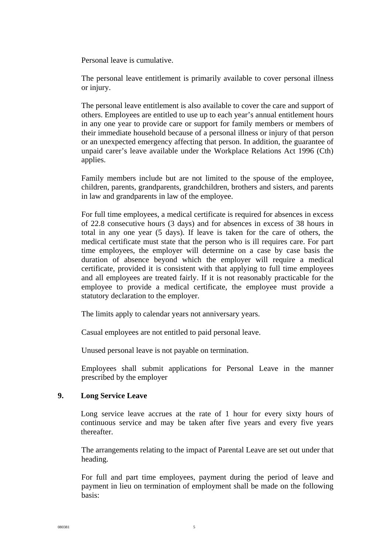Personal leave is cumulative.

The personal leave entitlement is primarily available to cover personal illness or injury.

The personal leave entitlement is also available to cover the care and support of others. Employees are entitled to use up to each year's annual entitlement hours in any one year to provide care or support for family members or members of their immediate household because of a personal illness or injury of that person or an unexpected emergency affecting that person. In addition, the guarantee of unpaid carer's leave available under the Workplace Relations Act 1996 (Cth) applies.

Family members include but are not limited to the spouse of the employee, children, parents, grandparents, grandchildren, brothers and sisters, and parents in law and grandparents in law of the employee.

For full time employees, a medical certificate is required for absences in excess of 22.8 consecutive hours (3 days) and for absences in excess of 38 hours in total in any one year (5 days). If leave is taken for the care of others, the medical certificate must state that the person who is ill requires care. For part time employees, the employer will determine on a case by case basis the duration of absence beyond which the employer will require a medical certificate, provided it is consistent with that applying to full time employees and all employees are treated fairly. If it is not reasonably practicable for the employee to provide a medical certificate, the employee must provide a statutory declaration to the employer.

The limits apply to calendar years not anniversary years.

Casual employees are not entitled to paid personal leave.

Unused personal leave is not payable on termination.

Employees shall submit applications for Personal Leave in the manner prescribed by the employer

## **9. Long Service Leave**

Long service leave accrues at the rate of 1 hour for every sixty hours of continuous service and may be taken after five years and every five years thereafter.

The arrangements relating to the impact of Parental Leave are set out under that heading.

For full and part time employees, payment during the period of leave and payment in lieu on termination of employment shall be made on the following basis: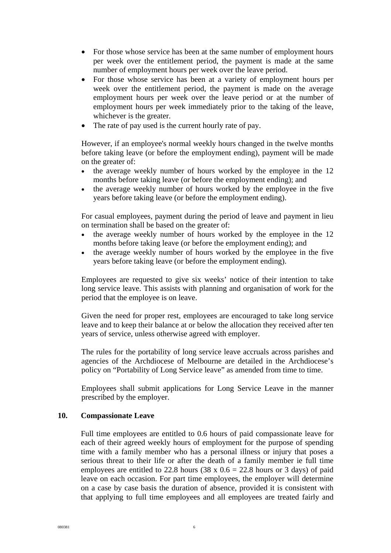- For those whose service has been at the same number of employment hours per week over the entitlement period, the payment is made at the same number of employment hours per week over the leave period.
- For those whose service has been at a variety of employment hours per week over the entitlement period, the payment is made on the average employment hours per week over the leave period or at the number of employment hours per week immediately prior to the taking of the leave, whichever is the greater.
- The rate of pay used is the current hourly rate of pay.

However, if an employee's normal weekly hours changed in the twelve months before taking leave (or before the employment ending), payment will be made on the greater of:

- the average weekly number of hours worked by the employee in the 12 months before taking leave (or before the employment ending); and
- the average weekly number of hours worked by the employee in the five years before taking leave (or before the employment ending).

For casual employees, payment during the period of leave and payment in lieu on termination shall be based on the greater of:

- the average weekly number of hours worked by the employee in the 12 months before taking leave (or before the employment ending); and
- the average weekly number of hours worked by the employee in the five years before taking leave (or before the employment ending).

Employees are requested to give six weeks' notice of their intention to take long service leave. This assists with planning and organisation of work for the period that the employee is on leave.

Given the need for proper rest, employees are encouraged to take long service leave and to keep their balance at or below the allocation they received after ten years of service, unless otherwise agreed with employer.

The rules for the portability of long service leave accruals across parishes and agencies of the Archdiocese of Melbourne are detailed in the Archdiocese's policy on "Portability of Long Service leave" as amended from time to time.

Employees shall submit applications for Long Service Leave in the manner prescribed by the employer.

#### **10. Compassionate Leave**

Full time employees are entitled to 0.6 hours of paid compassionate leave for each of their agreed weekly hours of employment for the purpose of spending time with a family member who has a personal illness or injury that poses a serious threat to their life or after the death of a family member ie full time employees are entitled to 22.8 hours (38 x  $0.6 = 22.8$  hours or 3 days) of paid leave on each occasion. For part time employees, the employer will determine on a case by case basis the duration of absence, provided it is consistent with that applying to full time employees and all employees are treated fairly and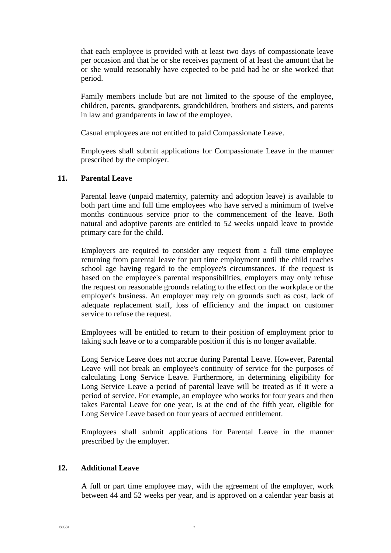that each employee is provided with at least two days of compassionate leave per occasion and that he or she receives payment of at least the amount that he or she would reasonably have expected to be paid had he or she worked that period.

Family members include but are not limited to the spouse of the employee, children, parents, grandparents, grandchildren, brothers and sisters, and parents in law and grandparents in law of the employee.

Casual employees are not entitled to paid Compassionate Leave.

Employees shall submit applications for Compassionate Leave in the manner prescribed by the employer.

#### **11. Parental Leave**

Parental leave (unpaid maternity, paternity and adoption leave) is available to both part time and full time employees who have served a minimum of twelve months continuous service prior to the commencement of the leave. Both natural and adoptive parents are entitled to 52 weeks unpaid leave to provide primary care for the child.

Employers are required to consider any request from a full time employee returning from parental leave for part time employment until the child reaches school age having regard to the employee's circumstances. If the request is based on the employee's parental responsibilities, employers may only refuse the request on reasonable grounds relating to the effect on the workplace or the employer's business. An employer may rely on grounds such as cost, lack of adequate replacement staff, loss of efficiency and the impact on customer service to refuse the request.

Employees will be entitled to return to their position of employment prior to taking such leave or to a comparable position if this is no longer available.

Long Service Leave does not accrue during Parental Leave. However, Parental Leave will not break an employee's continuity of service for the purposes of calculating Long Service Leave. Furthermore, in determining eligibility for Long Service Leave a period of parental leave will be treated as if it were a period of service. For example, an employee who works for four years and then takes Parental Leave for one year, is at the end of the fifth year, eligible for Long Service Leave based on four years of accrued entitlement.

Employees shall submit applications for Parental Leave in the manner prescribed by the employer.

## **12. Additional Leave**

A full or part time employee may, with the agreement of the employer, work between 44 and 52 weeks per year, and is approved on a calendar year basis at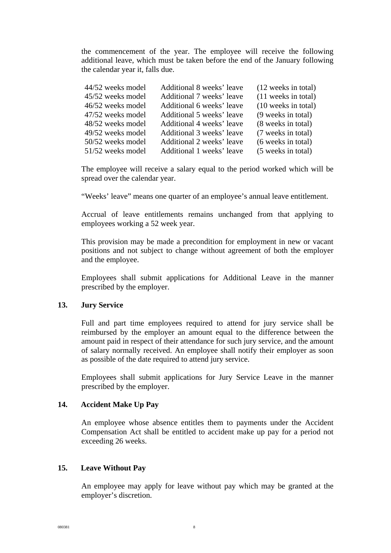the commencement of the year. The employee will receive the following additional leave, which must be taken before the end of the January following the calendar year it, falls due.

| 44/52 weeks model | Additional 8 weeks' leave | (12 weeks in total)   |
|-------------------|---------------------------|-----------------------|
| 45/52 weeks model | Additional 7 weeks' leave | (11 weeks in total)   |
| 46/52 weeks model | Additional 6 weeks' leave | $(10$ weeks in total) |
| 47/52 weeks model | Additional 5 weeks' leave | (9 weeks in total)    |
| 48/52 weeks model | Additional 4 weeks' leave | (8 weeks in total)    |
| 49/52 weeks model | Additional 3 weeks' leave | (7 weeks in total)    |
| 50/52 weeks model | Additional 2 weeks' leave | (6 weeks in total)    |
| 51/52 weeks model | Additional 1 weeks' leave | (5 weeks in total)    |

The employee will receive a salary equal to the period worked which will be spread over the calendar year.

"Weeks' leave" means one quarter of an employee's annual leave entitlement.

Accrual of leave entitlements remains unchanged from that applying to employees working a 52 week year.

This provision may be made a precondition for employment in new or vacant positions and not subject to change without agreement of both the employer and the employee.

Employees shall submit applications for Additional Leave in the manner prescribed by the employer.

## **13. Jury Service**

Full and part time employees required to attend for jury service shall be reimbursed by the employer an amount equal to the difference between the amount paid in respect of their attendance for such jury service, and the amount of salary normally received. An employee shall notify their employer as soon as possible of the date required to attend jury service.

Employees shall submit applications for Jury Service Leave in the manner prescribed by the employer.

#### **14. Accident Make Up Pay**

An employee whose absence entitles them to payments under the Accident Compensation Act shall be entitled to accident make up pay for a period not exceeding 26 weeks.

# **15. Leave Without Pay**

An employee may apply for leave without pay which may be granted at the employer's discretion.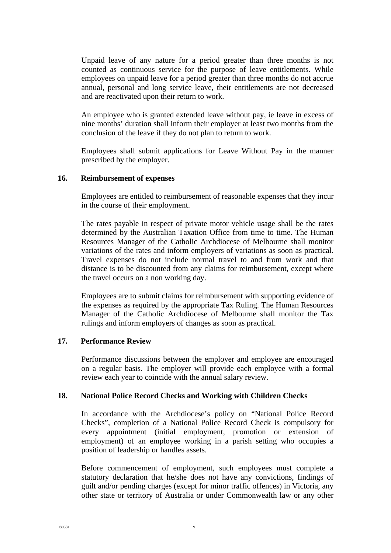Unpaid leave of any nature for a period greater than three months is not counted as continuous service for the purpose of leave entitlements. While employees on unpaid leave for a period greater than three months do not accrue annual, personal and long service leave, their entitlements are not decreased and are reactivated upon their return to work.

An employee who is granted extended leave without pay, ie leave in excess of nine months' duration shall inform their employer at least two months from the conclusion of the leave if they do not plan to return to work.

Employees shall submit applications for Leave Without Pay in the manner prescribed by the employer.

## **16. Reimbursement of expenses**

Employees are entitled to reimbursement of reasonable expenses that they incur in the course of their employment.

The rates payable in respect of private motor vehicle usage shall be the rates determined by the Australian Taxation Office from time to time. The Human Resources Manager of the Catholic Archdiocese of Melbourne shall monitor variations of the rates and inform employers of variations as soon as practical. Travel expenses do not include normal travel to and from work and that distance is to be discounted from any claims for reimbursement, except where the travel occurs on a non working day.

Employees are to submit claims for reimbursement with supporting evidence of the expenses as required by the appropriate Tax Ruling. The Human Resources Manager of the Catholic Archdiocese of Melbourne shall monitor the Tax rulings and inform employers of changes as soon as practical.

#### **17. Performance Review**

Performance discussions between the employer and employee are encouraged on a regular basis. The employer will provide each employee with a formal review each year to coincide with the annual salary review.

#### **18. National Police Record Checks and Working with Children Checks**

In accordance with the Archdiocese's policy on "National Police Record Checks", completion of a National Police Record Check is compulsory for every appointment (initial employment, promotion or extension of employment) of an employee working in a parish setting who occupies a position of leadership or handles assets.

Before commencement of employment, such employees must complete a statutory declaration that he/she does not have any convictions, findings of guilt and/or pending charges (except for minor traffic offences) in Victoria, any other state or territory of Australia or under Commonwealth law or any other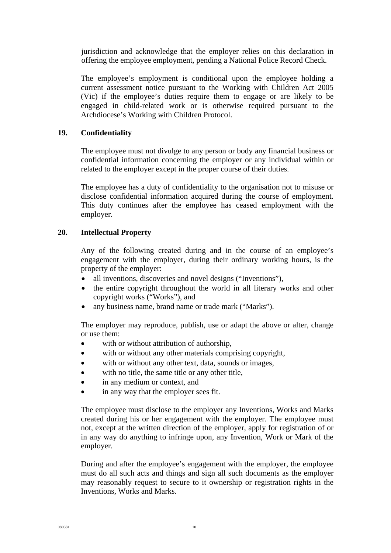jurisdiction and acknowledge that the employer relies on this declaration in offering the employee employment, pending a National Police Record Check.

The employee's employment is conditional upon the employee holding a current assessment notice pursuant to the Working with Children Act 2005 (Vic) if the employee's duties require them to engage or are likely to be engaged in child-related work or is otherwise required pursuant to the Archdiocese's Working with Children Protocol.

## **19. Confidentiality**

The employee must not divulge to any person or body any financial business or confidential information concerning the employer or any individual within or related to the employer except in the proper course of their duties.

The employee has a duty of confidentiality to the organisation not to misuse or disclose confidential information acquired during the course of employment. This duty continues after the employee has ceased employment with the employer.

# **20. Intellectual Property**

Any of the following created during and in the course of an employee's engagement with the employer, during their ordinary working hours, is the property of the employer:

- all inventions, discoveries and novel designs ("Inventions"),
- the entire copyright throughout the world in all literary works and other copyright works ("Works"), and
- any business name, brand name or trade mark ("Marks").

The employer may reproduce, publish, use or adapt the above or alter, change or use them:

- with or without attribution of authorship,
- with or without any other materials comprising copyright,
- with or without any other text, data, sounds or images,
- with no title, the same title or any other title,
- in any medium or context, and
- in any way that the employer sees fit.

The employee must disclose to the employer any Inventions, Works and Marks created during his or her engagement with the employer. The employee must not, except at the written direction of the employer, apply for registration of or in any way do anything to infringe upon, any Invention, Work or Mark of the employer.

During and after the employee's engagement with the employer, the employee must do all such acts and things and sign all such documents as the employer may reasonably request to secure to it ownership or registration rights in the Inventions, Works and Marks.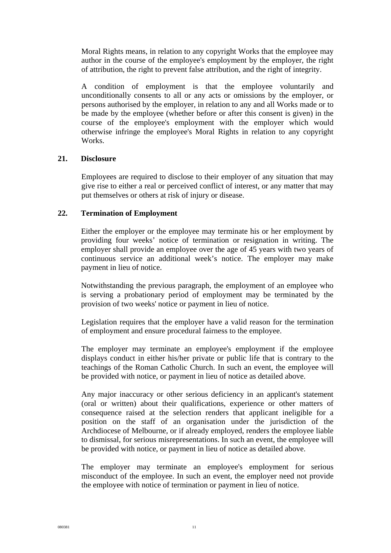Moral Rights means, in relation to any copyright Works that the employee may author in the course of the employee's employment by the employer, the right of attribution, the right to prevent false attribution, and the right of integrity.

A condition of employment is that the employee voluntarily and unconditionally consents to all or any acts or omissions by the employer, or persons authorised by the employer, in relation to any and all Works made or to be made by the employee (whether before or after this consent is given) in the course of the employee's employment with the employer which would otherwise infringe the employee's Moral Rights in relation to any copyright Works.

## **21. Disclosure**

Employees are required to disclose to their employer of any situation that may give rise to either a real or perceived conflict of interest, or any matter that may put themselves or others at risk of injury or disease.

## **22. Termination of Employment**

Either the employer or the employee may terminate his or her employment by providing four weeks' notice of termination or resignation in writing. The employer shall provide an employee over the age of 45 years with two years of continuous service an additional week's notice. The employer may make payment in lieu of notice.

Notwithstanding the previous paragraph, the employment of an employee who is serving a probationary period of employment may be terminated by the provision of two weeks' notice or payment in lieu of notice.

Legislation requires that the employer have a valid reason for the termination of employment and ensure procedural fairness to the employee.

The employer may terminate an employee's employment if the employee displays conduct in either his/her private or public life that is contrary to the teachings of the Roman Catholic Church. In such an event, the employee will be provided with notice, or payment in lieu of notice as detailed above.

Any major inaccuracy or other serious deficiency in an applicant's statement (oral or written) about their qualifications, experience or other matters of consequence raised at the selection renders that applicant ineligible for a position on the staff of an organisation under the jurisdiction of the Archdiocese of Melbourne, or if already employed, renders the employee liable to dismissal, for serious misrepresentations. In such an event, the employee will be provided with notice, or payment in lieu of notice as detailed above.

The employer may terminate an employee's employment for serious misconduct of the employee. In such an event, the employer need not provide the employee with notice of termination or payment in lieu of notice.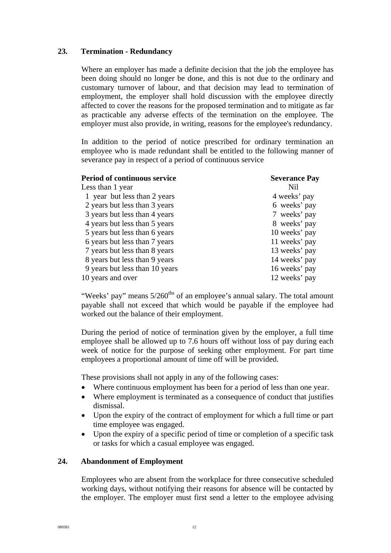# **23. Termination - Redundancy**

Where an employer has made a definite decision that the job the employee has been doing should no longer be done, and this is not due to the ordinary and customary turnover of labour, and that decision may lead to termination of employment, the employer shall hold discussion with the employee directly affected to cover the reasons for the proposed termination and to mitigate as far as practicable any adverse effects of the termination on the employee. The employer must also provide, in writing, reasons for the employee's redundancy.

In addition to the period of notice prescribed for ordinary termination an employee who is made redundant shall be entitled to the following manner of severance pay in respect of a period of continuous service

| <b>Period of continuous service</b> | <b>Severance Pay</b> |
|-------------------------------------|----------------------|
| Less than 1 year                    | Nil                  |
| 1 year but less than 2 years        | 4 weeks' pay         |
| 2 years but less than 3 years       | 6 weeks' pay         |
| 3 years but less than 4 years       | 7 weeks' pay         |
| 4 years but less than 5 years       | 8 weeks' pay         |
| 5 years but less than 6 years       | 10 weeks' pay        |
| 6 years but less than 7 years       | 11 weeks' pay        |
| 7 years but less than 8 years       | 13 weeks' pay        |
| 8 years but less than 9 years       | 14 weeks' pay        |
| 9 years but less than 10 years      | 16 weeks' pay        |
| 10 years and over                   | 12 weeks' pay        |

"Weeks' pay" means  $5/260^{ths}$  of an employee's annual salary. The total amount payable shall not exceed that which would be payable if the employee had worked out the balance of their employment.

During the period of notice of termination given by the employer, a full time employee shall be allowed up to 7.6 hours off without loss of pay during each week of notice for the purpose of seeking other employment. For part time employees a proportional amount of time off will be provided.

These provisions shall not apply in any of the following cases:

- Where continuous employment has been for a period of less than one year.
- Where employment is terminated as a consequence of conduct that justifies dismissal.
- Upon the expiry of the contract of employment for which a full time or part time employee was engaged.
- Upon the expiry of a specific period of time or completion of a specific task or tasks for which a casual employee was engaged.

## **24. Abandonment of Employment**

Employees who are absent from the workplace for three consecutive scheduled working days, without notifying their reasons for absence will be contacted by the employer. The employer must first send a letter to the employee advising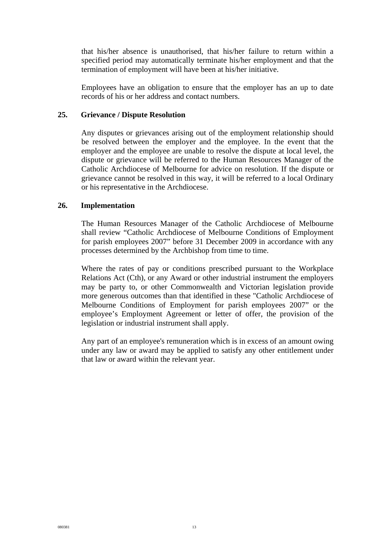that his/her absence is unauthorised, that his/her failure to return within a specified period may automatically terminate his/her employment and that the termination of employment will have been at his/her initiative.

Employees have an obligation to ensure that the employer has an up to date records of his or her address and contact numbers.

## **25. Grievance / Dispute Resolution**

Any disputes or grievances arising out of the employment relationship should be resolved between the employer and the employee. In the event that the employer and the employee are unable to resolve the dispute at local level, the dispute or grievance will be referred to the Human Resources Manager of the Catholic Archdiocese of Melbourne for advice on resolution. If the dispute or grievance cannot be resolved in this way, it will be referred to a local Ordinary or his representative in the Archdiocese.

## **26. Implementation**

The Human Resources Manager of the Catholic Archdiocese of Melbourne shall review "Catholic Archdiocese of Melbourne Conditions of Employment for parish employees 2007" before 31 December 2009 in accordance with any processes determined by the Archbishop from time to time.

Where the rates of pay or conditions prescribed pursuant to the Workplace Relations Act (Cth), or any Award or other industrial instrument the employers may be party to, or other Commonwealth and Victorian legislation provide more generous outcomes than that identified in these "Catholic Archdiocese of Melbourne Conditions of Employment for parish employees 2007" or the employee's Employment Agreement or letter of offer, the provision of the legislation or industrial instrument shall apply.

Any part of an employee's remuneration which is in excess of an amount owing under any law or award may be applied to satisfy any other entitlement under that law or award within the relevant year.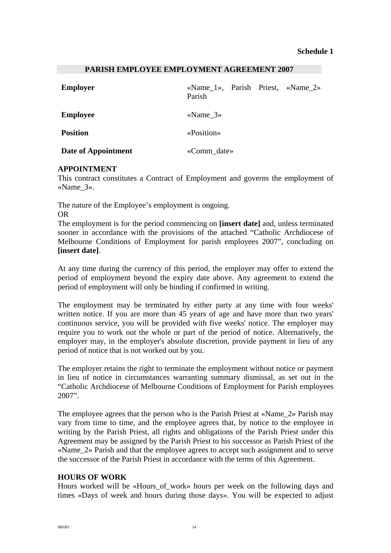#### **PARISH EMPLOYEE EMPLOYMENT AGREEMENT 2007**

| <b>Employer</b>     | «Name_1», Parish Priest, «Name_2»<br>Parish |  |  |
|---------------------|---------------------------------------------|--|--|
| <b>Employee</b>     | «Name $3\%$                                 |  |  |
| <b>Position</b>     | «Position»                                  |  |  |
| Date of Appointment | «Comm_date»                                 |  |  |

## **APPOINTMENT**

This contract constitutes a Contract of Employment and governs the employment of «Name\_3».

The nature of the Employee's employment is ongoing. OR

The employment is for the period commencing on **[insert date]** and, unless terminated sooner in accordance with the provisions of the attached "Catholic Archdiocese of Melbourne Conditions of Employment for parish employees 2007", concluding on **[insert date]**.

At any time during the currency of this period, the employer may offer to extend the period of employment beyond the expiry date above. Any agreement to extend the period of employment will only be binding if confirmed in writing.

The employment may be terminated by either party at any time with four weeks' written notice. If you are more than 45 years of age and have more than two years' continuous service, you will be provided with five weeks' notice. The employer may require you to work out the whole or part of the period of notice. Alternatively, the employer may, in the employer's absolute discretion, provide payment in lieu of any period of notice that is not worked out by you.

The employer retains the right to terminate the employment without notice or payment in lieu of notice in circumstances warranting summary dismissal, as set out in the "Catholic Archdiocese of Melbourne Conditions of Employment for Parish employees 2007".

The employee agrees that the person who is the Parish Priest at «Name\_2» Parish may vary from time to time, and the employee agrees that, by notice to the employee in writing by the Parish Priest, all rights and obligations of the Parish Priest under this Agreement may be assigned by the Parish Priest to his successor as Parish Priest of the «Name\_2» Parish and that the employee agrees to accept such assignment and to serve the successor of the Parish Priest in accordance with the terms of this Agreement.

## **HOURS OF WORK**

Hours worked will be «Hours\_of\_work» hours per week on the following days and times «Days of week and hours during those days». You will be expected to adjust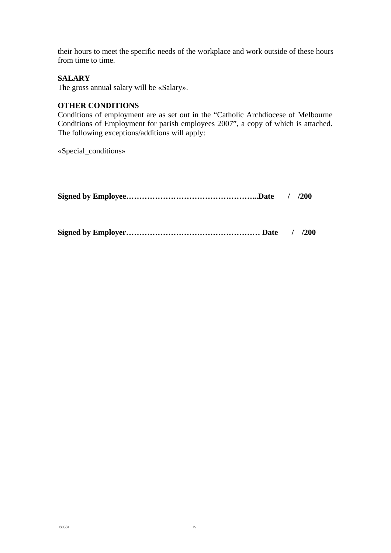their hours to meet the specific needs of the workplace and work outside of these hours from time to time.

# **SALARY**

The gross annual salary will be «Salary».

# **OTHER CONDITIONS**

Conditions of employment are as set out in the "Catholic Archdiocese of Melbourne Conditions of Employment for parish employees 2007", a copy of which is attached. The following exceptions/additions will apply:

«Special\_conditions»

|--|--|--|

**Signed by Employer…………………………………………… Date / /200**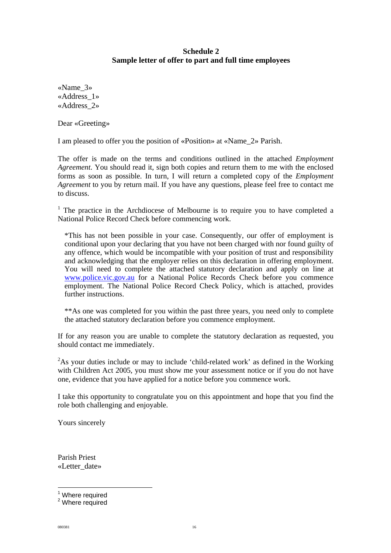# **Schedule 2 Sample letter of offer to part and full time employees**

«Name\_3» «Address\_1» «Address\_2»

Dear «Greeting»

I am pleased to offer you the position of «Position» at «Name\_2» Parish.

The offer is made on the terms and conditions outlined in the attached *Employment Agreement*. You should read it, sign both copies and return them to me with the enclosed forms as soon as possible. In turn, I will return a completed copy of the *Employment Agreement* to you by return mail. If you have any questions, please feel free to contact me to discuss.

<sup>[1](#page-16-0)</sup> The practice in the Archdiocese of Melbourne is to require you to have completed a National Police Record Check before commencing work.

\*This has not been possible in your case. Consequently, our offer of employment is conditional upon your declaring that you have not been charged with nor found guilty of any offence, which would be incompatible with your position of trust and responsibility and acknowledging that the employer relies on this declaration in offering employment. You will need to complete the attached statutory declaration and apply on line at [www.police.vic.gov.au](http://www.police.vic.gov.au/) for a National Police Records Check before you commence employment. The National Police Record Check Policy, which is attached, provides further instructions.

\*\*As one was completed for you within the past three years, you need only to complete the attached statutory declaration before you commence employment.

If for any reason you are unable to complete the statutory declaration as requested, you should contact me immediately.

 $2$ As your duties include or may to include 'child-related work' as defined in the Working with Children Act 2005, you must show me your assessment notice or if you do not have one, evidence that you have applied for a notice before you commence work.

I take this opportunity to congratulate you on this appointment and hope that you find the role both challenging and enjoyable.

Yours sincerely

Parish Priest «Letter\_date»

<span id="page-16-0"></span> $\frac{1}{1}$  $^1$  Where required<br> $^2$  Where required

<span id="page-16-1"></span><sup>&</sup>lt;sup>2</sup> Where required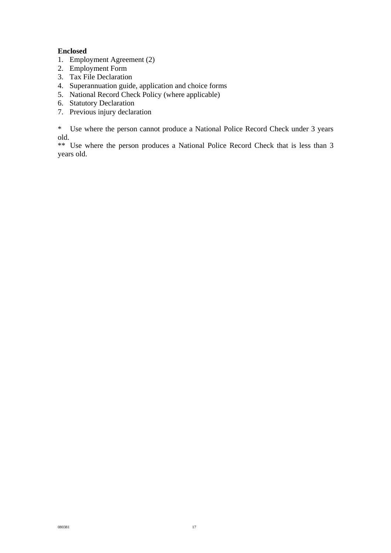## **Enclosed**

- 1. Employment Agreement (2)
- 2. Employment Form
- 3. Tax File Declaration
- 4. Superannuation guide, application and choice forms
- 5. National Record Check Policy (where applicable)
- 6. Statutory Declaration
- 7. Previous injury declaration

\* Use where the person cannot produce a National Police Record Check under 3 years old.

\*\* Use where the person produces a National Police Record Check that is less than 3 years old.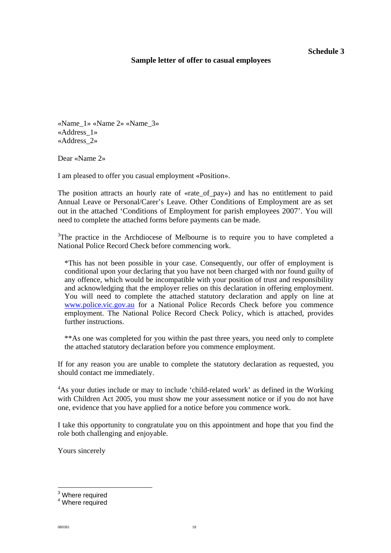## **Sample letter of offer to casual employees**

«Name\_1» «Name 2» «Name\_3» «Address\_1» «Address\_2»

Dear «Name 2»

I am pleased to offer you casual employment «Position».

The position attracts an hourly rate of «rate\_of\_pay») and has no entitlement to paid Annual Leave or Personal/Carer's Leave. Other Conditions of Employment are as set out in the attached 'Conditions of Employment for parish employees 2007'. You will need to complete the attached forms before payments can be made.

 $3$ The practice in the Archdiocese of Melbourne is to require you to have completed a National Police Record Check before commencing work.

\*This has not been possible in your case. Consequently, our offer of employment is conditional upon your declaring that you have not been charged with nor found guilty of any offence, which would be incompatible with your position of trust and responsibility and acknowledging that the employer relies on this declaration in offering employment. You will need to complete the attached statutory declaration and apply on line at [www.police.vic.gov.au](http://www.police.vic.gov.au/) for a National Police Records Check before you commence employment. The National Police Record Check Policy, which is attached, provides further instructions.

\*\*As one was completed for you within the past three years, you need only to complete the attached statutory declaration before you commence employment.

If for any reason you are unable to complete the statutory declaration as requested, you should contact me immediately.

<sup>[4](#page-18-1)</sup>As your duties include or may to include 'child-related work' as defined in the Working with Children Act 2005, you must show me your assessment notice or if you do not have one, evidence that you have applied for a notice before you commence work.

I take this opportunity to congratulate you on this appointment and hope that you find the role both challenging and enjoyable.

Yours sincerely

<span id="page-18-0"></span><sup>-&</sup>lt;br>3  $^3$  Where required<br> $^4$  Where required

<span id="page-18-1"></span><sup>&</sup>lt;sup>4</sup> Where required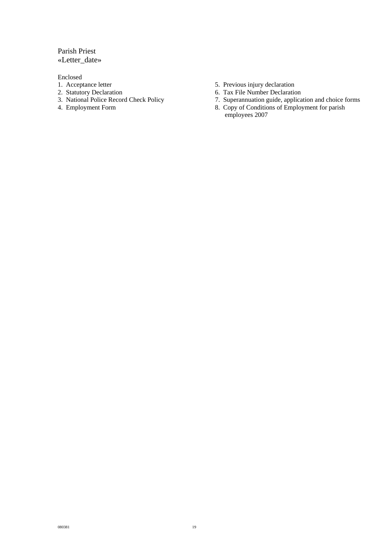## Parish Priest «Letter\_date»

Enclosed

- 
- 
- 2. Statutory Declaration 6. Tax File Number Declaration<br>
3. National Police Record Check Policy 7. Superannuation guide, applica
- 
- 1. Acceptance letter 5. Previous injury declaration<br>
2. Statutory Declaration<br>
5. Previous injury declaration<br>
5. Tax File Number Declaration
	-
	- 7. Superannuation guide, application and choice forms
- 4. Employment Form 8. Copy of Conditions of Employment for parish employees 2007